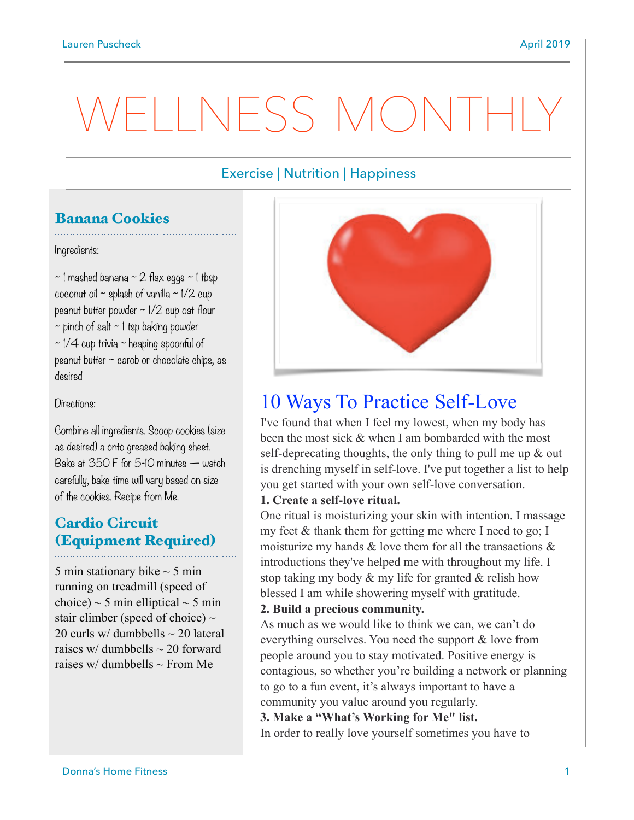# Exercise | Nutrition | Happiness

# Banana Cookies

Ingredients:

 $\sim$  1 mashed banana  $\sim$  2 flax eggs  $\sim$  1 tbsp coconut oil  $\sim$  splash of vanilla  $\sim$  1/2 cup peanut butter powder ~ 1/2 cup oat flour  $\sim$  pinch of salt  $\sim$  1 tsp baking powder  $\sim$  1/4 cup trivia  $\sim$  heaping spoonful of peanut butter ~ carob or chocolate chips, as desired

Directions:

Combine all ingredients. Scoop cookies (size as desired) a onto greased baking sheet. Bake at 350 F for 5-10 minutes — watch carefully, bake time will vary based on size of the cookies. Recipe from Me.

## Cardio Circuit (Equipment Required)

5 min stationary bike  $\sim$  5 min running on treadmill (speed of choice)  $\sim$  5 min elliptical  $\sim$  5 min stair climber (speed of choice)  $\sim$ 20 curls w/ dumbbells  $\sim$  20 lateral raises w/ dumbbells  $\sim$  20 forward raises w/ dumbbells  $\sim$  From Me



# 10 Ways To Practice Self-Love

I've found that when I feel my lowest, when my body has been the most sick & when I am bombarded with the most self-deprecating thoughts, the only thing to pull me up & out is drenching myself in self-love. I've put together a list to help you get started with your own self-love conversation.

### **1. Create a self-love ritual.**

One ritual is moisturizing your skin with intention. I massage my feet & thank them for getting me where I need to go; I moisturize my hands  $&$  love them for all the transactions  $&$ introductions they've helped me with throughout my life. I stop taking my body & my life for granted & relish how blessed I am while showering myself with gratitude.

### **2. Build a precious community.**

As much as we would like to think we can, we can't do everything ourselves. You need the support & love from people around you to stay motivated. Positive energy is contagious, so whether you're building a network or planning to go to a fun event, it's always important to have a community you value around you regularly.

**3. Make a "What's Working for Me" list.**  In order to really love yourself sometimes you have to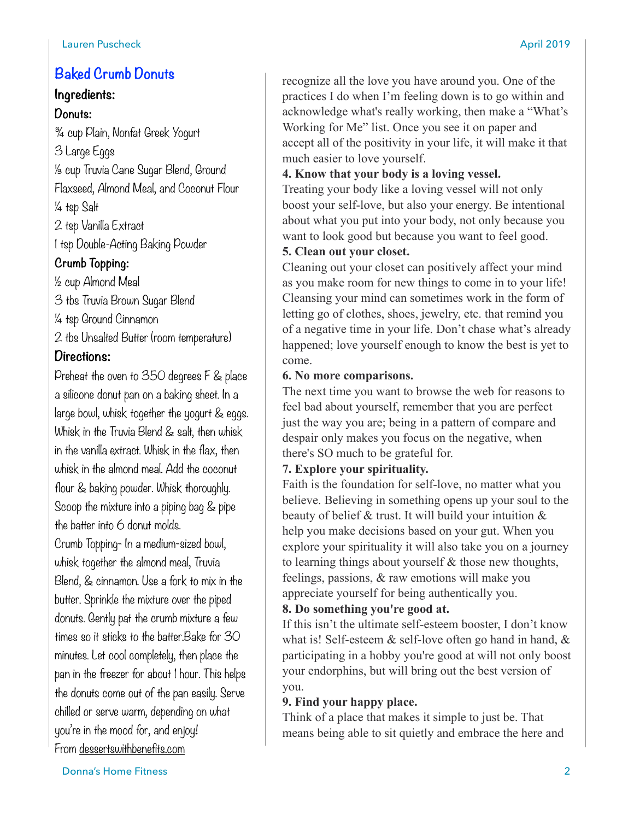## **Baked Crumb Donuts**

## **Ingredients:**

## **Donuts:**

¾ cup Plain, Nonfat Greek Yogurt 3 Large Eggs ⅓ cup Truvia Cane Sugar Blend, Ground Flaxseed, Almond Meal, and Coconut Flour ¼ tsp Salt 2 tsp Vanilla Extract 1 tsp Double-Acting Baking Powder **Crumb Topping:**  ½ cup Almond Meal 3 tbs Truvia Brown Sugar Blend ¼ tsp Ground Cinnamon 2 tbs Unsalted Butter (room temperature)

## **Directions:**

Preheat the oven to 350 degrees F & place a silicone donut pan on a baking sheet. In a large bowl, whisk together the yogurt & eggs. Whisk in the Truvia Blend & salt, then whisk in the vanilla extract. Whisk in the flax, then whisk in the almond meal. Add the coconut flour & baking powder. Whisk thoroughly. Scoop the mixture into a piping bag & pipe the batter into 6 donut molds. Crumb Topping- In a medium-sized bowl, whisk together the almond meal, Truvia

Blend, & cinnamon. Use a fork to mix in the butter. Sprinkle the mixture over the piped donuts. Gently pat the crumb mixture a few times so it sticks to the batter.Bake for 30 minutes. Let cool completely, then place the pan in the freezer for about 1 hour. This helps the donuts come out of the pan easily. Serve chilled or serve warm, depending on what you're in the mood for, and enjoy! From [dessertswithbenefits.com](http://dessertswithbenefits.com)

recognize all the love you have around you. One of the practices I do when I'm feeling down is to go within and acknowledge what's really working, then make a "What's Working for Me" list. Once you see it on paper and accept all of the positivity in your life, it will make it that much easier to love yourself.

## **4. Know that your body is a loving vessel.**

Treating your body like a loving vessel will not only boost your self-love, but also your energy. Be intentional about what you put into your body, not only because you want to look good but because you want to feel good.

## **5. Clean out your closet.**

Cleaning out your closet can positively affect your mind as you make room for new things to come in to your life! Cleansing your mind can sometimes work in the form of letting go of clothes, shoes, jewelry, etc. that remind you of a negative time in your life. Don't chase what's already happened; love yourself enough to know the best is yet to come.

## **6. No more comparisons.**

The next time you want to browse the web for reasons to feel bad about yourself, remember that you are perfect just the way you are; being in a pattern of compare and despair only makes you focus on the negative, when there's SO much to be grateful for.

## **7. Explore your spirituality.**

Faith is the foundation for self-love, no matter what you believe. Believing in something opens up your soul to the beauty of belief & trust. It will build your intuition & help you make decisions based on your gut. When you explore your spirituality it will also take you on a journey to learning things about yourself & those new thoughts, feelings, passions, & raw emotions will make you appreciate yourself for being authentically you.

## **8. Do something you're good at.**

If this isn't the ultimate self-esteem booster, I don't know what is! Self-esteem & self-love often go hand in hand, & participating in a hobby you're good at will not only boost your endorphins, but will bring out the best version of you.

## **9. Find your happy place.**

Think of a place that makes it simple to just be. That means being able to sit quietly and embrace the here and